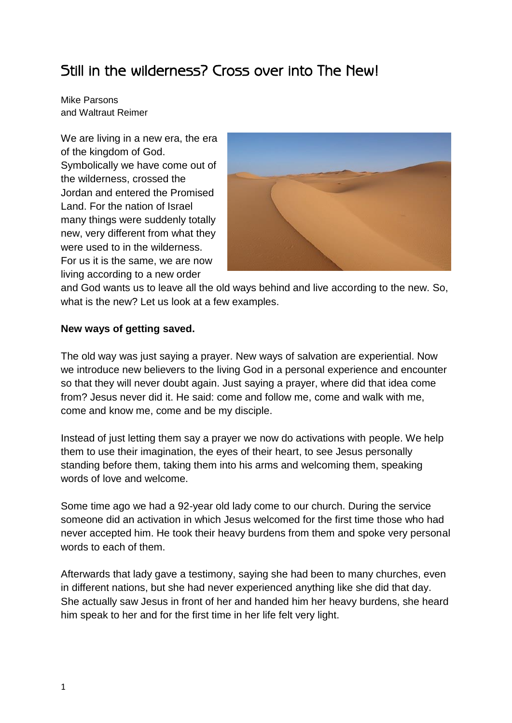# Still in the wilderness? Cross over into The New!

Mike Parsons and Waltraut Reimer

We are living in a new era, the era of the kingdom of God. Symbolically we have come out of the wilderness, crossed the Jordan and entered the Promised Land. For the nation of Israel many things were suddenly totally new, very different from what they were used to in the wilderness. For us it is the same, we are now living according to a new order



and God wants us to leave all the old ways behind and live according to the new. So, what is the new? Let us look at a few examples.

## **New ways of getting saved.**

The old way was just saying a prayer. New ways of salvation are experiential. Now we introduce new believers to the living God in a personal experience and encounter so that they will never doubt again. Just saying a prayer, where did that idea come from? Jesus never did it. He said: come and follow me, come and walk with me, come and know me, come and be my disciple.

Instead of just letting them say a prayer we now do activations with people. We help them to use their imagination, the eyes of their heart, to see Jesus personally standing before them, taking them into his arms and welcoming them, speaking words of love and welcome.

Some time ago we had a 92-year old lady come to our church. During the service someone did an activation in which Jesus welcomed for the first time those who had never accepted him. He took their heavy burdens from them and spoke very personal words to each of them.

Afterwards that lady gave a testimony, saying she had been to many churches, even in different nations, but she had never experienced anything like she did that day. She actually saw Jesus in front of her and handed him her heavy burdens, she heard him speak to her and for the first time in her life felt very light.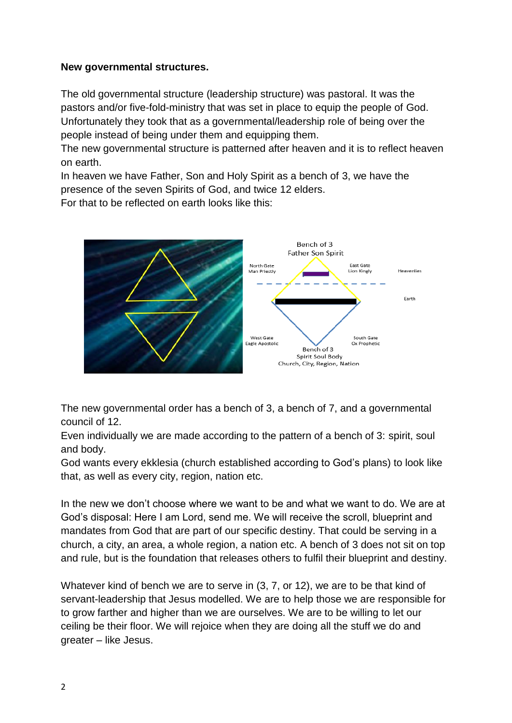#### **New governmental structures.**

The old governmental structure (leadership structure) was pastoral. It was the pastors and/or five-fold-ministry that was set in place to equip the people of God. Unfortunately they took that as a governmental/leadership role of being over the people instead of being under them and equipping them.

The new governmental structure is patterned after heaven and it is to reflect heaven on earth.

In heaven we have Father, Son and Holy Spirit as a bench of 3, we have the presence of the seven Spirits of God, and twice 12 elders.

For that to be reflected on earth looks like this:



The new governmental order has a bench of 3, a bench of 7, and a governmental council of 12.

Even individually we are made according to the pattern of a bench of 3: spirit, soul and body.

God wants every ekklesia (church established according to God's plans) to look like that, as well as every city, region, nation etc.

In the new we don't choose where we want to be and what we want to do. We are at God's disposal: Here I am Lord, send me. We will receive the scroll, blueprint and mandates from God that are part of our specific destiny. That could be serving in a church, a city, an area, a whole region, a nation etc. A bench of 3 does not sit on top and rule, but is the foundation that releases others to fulfil their blueprint and destiny.

Whatever kind of bench we are to serve in (3, 7, or 12), we are to be that kind of servant-leadership that Jesus modelled. We are to help those we are responsible for to grow farther and higher than we are ourselves. We are to be willing to let our ceiling be their floor. We will rejoice when they are doing all the stuff we do and greater – like Jesus.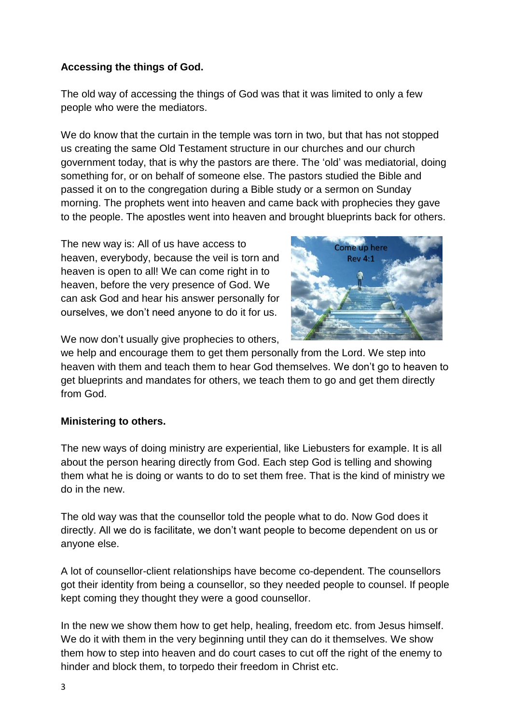## **Accessing the things of God.**

The old way of accessing the things of God was that it was limited to only a few people who were the mediators.

We do know that the curtain in the temple was torn in two, but that has not stopped us creating the same Old Testament structure in our churches and our church government today, that is why the pastors are there. The 'old' was mediatorial, doing something for, or on behalf of someone else. The pastors studied the Bible and passed it on to the congregation during a Bible study or a sermon on Sunday morning. The prophets went into heaven and came back with prophecies they gave to the people. The apostles went into heaven and brought blueprints back for others.

The new way is: All of us have access to heaven, everybody, because the veil is torn and heaven is open to all! We can come right in to heaven, before the very presence of God. We can ask God and hear his answer personally for ourselves, we don't need anyone to do it for us.



We now don't usually give prophecies to others,

we help and encourage them to get them personally from the Lord. We step into heaven with them and teach them to hear God themselves. We don't go to heaven to get blueprints and mandates for others, we teach them to go and get them directly from God.

## **Ministering to others.**

The new ways of doing ministry are experiential, like Liebusters for example. It is all about the person hearing directly from God. Each step God is telling and showing them what he is doing or wants to do to set them free. That is the kind of ministry we do in the new.

The old way was that the counsellor told the people what to do. Now God does it directly. All we do is facilitate, we don't want people to become dependent on us or anyone else.

A lot of counsellor-client relationships have become co-dependent. The counsellors got their identity from being a counsellor, so they needed people to counsel. If people kept coming they thought they were a good counsellor.

In the new we show them how to get help, healing, freedom etc. from Jesus himself. We do it with them in the very beginning until they can do it themselves. We show them how to step into heaven and do court cases to cut off the right of the enemy to hinder and block them, to torpedo their freedom in Christ etc.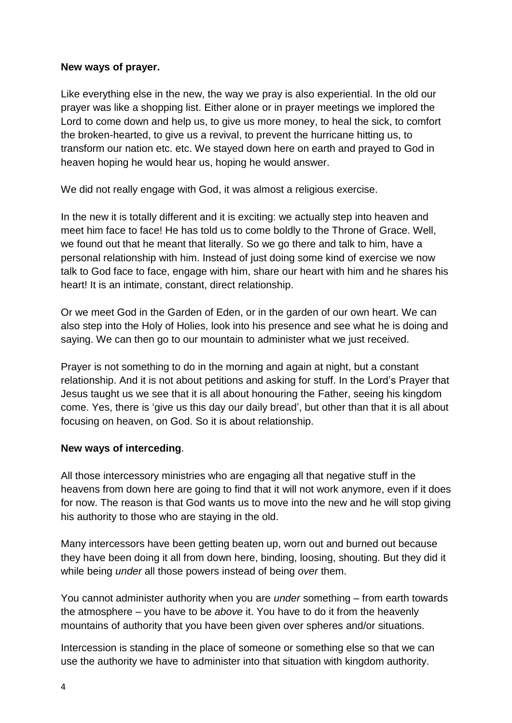## **New ways of prayer.**

Like everything else in the new, the way we pray is also experiential. In the old our prayer was like a shopping list. Either alone or in prayer meetings we implored the Lord to come down and help us, to give us more money, to heal the sick, to comfort the broken-hearted, to give us a revival, to prevent the hurricane hitting us, to transform our nation etc. etc. We stayed down here on earth and prayed to God in heaven hoping he would hear us, hoping he would answer.

We did not really engage with God, it was almost a religious exercise.

In the new it is totally different and it is exciting: we actually step into heaven and meet him face to face! He has told us to come boldly to the Throne of Grace. Well, we found out that he meant that literally. So we go there and talk to him, have a personal relationship with him. Instead of just doing some kind of exercise we now talk to God face to face, engage with him, share our heart with him and he shares his heart! It is an intimate, constant, direct relationship.

Or we meet God in the Garden of Eden, or in the garden of our own heart. We can also step into the Holy of Holies, look into his presence and see what he is doing and saying. We can then go to our mountain to administer what we just received.

Prayer is not something to do in the morning and again at night, but a constant relationship. And it is not about petitions and asking for stuff. In the Lord's Prayer that Jesus taught us we see that it is all about honouring the Father, seeing his kingdom come. Yes, there is 'give us this day our daily bread', but other than that it is all about focusing on heaven, on God. So it is about relationship.

## **New ways of interceding**.

All those intercessory ministries who are engaging all that negative stuff in the heavens from down here are going to find that it will not work anymore, even if it does for now. The reason is that God wants us to move into the new and he will stop giving his authority to those who are staying in the old.

Many intercessors have been getting beaten up, worn out and burned out because they have been doing it all from down here, binding, loosing, shouting. But they did it while being *under* all those powers instead of being *over* them.

You cannot administer authority when you are *under* something – from earth towards the atmosphere – you have to be *above* it. You have to do it from the heavenly mountains of authority that you have been given over spheres and/or situations.

Intercession is standing in the place of someone or something else so that we can use the authority we have to administer into that situation with kingdom authority.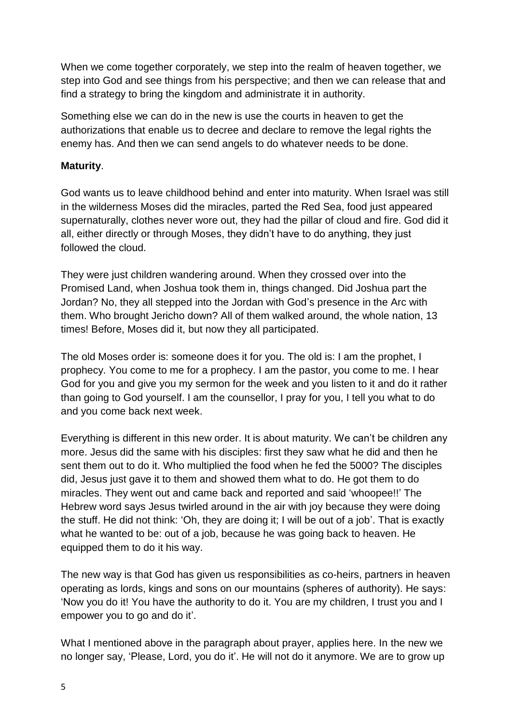When we come together corporately, we step into the realm of heaven together, we step into God and see things from his perspective; and then we can release that and find a strategy to bring the kingdom and administrate it in authority.

Something else we can do in the new is use the courts in heaven to get the authorizations that enable us to decree and declare to remove the legal rights the enemy has. And then we can send angels to do whatever needs to be done.

## **Maturity**.

God wants us to leave childhood behind and enter into maturity. When Israel was still in the wilderness Moses did the miracles, parted the Red Sea, food just appeared supernaturally, clothes never wore out, they had the pillar of cloud and fire. God did it all, either directly or through Moses, they didn't have to do anything, they just followed the cloud.

They were just children wandering around. When they crossed over into the Promised Land, when Joshua took them in, things changed. Did Joshua part the Jordan? No, they all stepped into the Jordan with God's presence in the Arc with them. Who brought Jericho down? All of them walked around, the whole nation, 13 times! Before, Moses did it, but now they all participated.

The old Moses order is: someone does it for you. The old is: I am the prophet, I prophecy. You come to me for a prophecy. I am the pastor, you come to me. I hear God for you and give you my sermon for the week and you listen to it and do it rather than going to God yourself. I am the counsellor, I pray for you, I tell you what to do and you come back next week.

Everything is different in this new order. It is about maturity. We can't be children any more. Jesus did the same with his disciples: first they saw what he did and then he sent them out to do it. Who multiplied the food when he fed the 5000? The disciples did, Jesus just gave it to them and showed them what to do. He got them to do miracles. They went out and came back and reported and said 'whoopee!!' The Hebrew word says Jesus twirled around in the air with joy because they were doing the stuff. He did not think: 'Oh, they are doing it; I will be out of a job'. That is exactly what he wanted to be: out of a job, because he was going back to heaven. He equipped them to do it his way.

The new way is that God has given us responsibilities as co-heirs, partners in heaven operating as lords, kings and sons on our mountains (spheres of authority). He says: 'Now you do it! You have the authority to do it. You are my children, I trust you and I empower you to go and do it'.

What I mentioned above in the paragraph about prayer, applies here. In the new we no longer say, 'Please, Lord, you do it'. He will not do it anymore. We are to grow up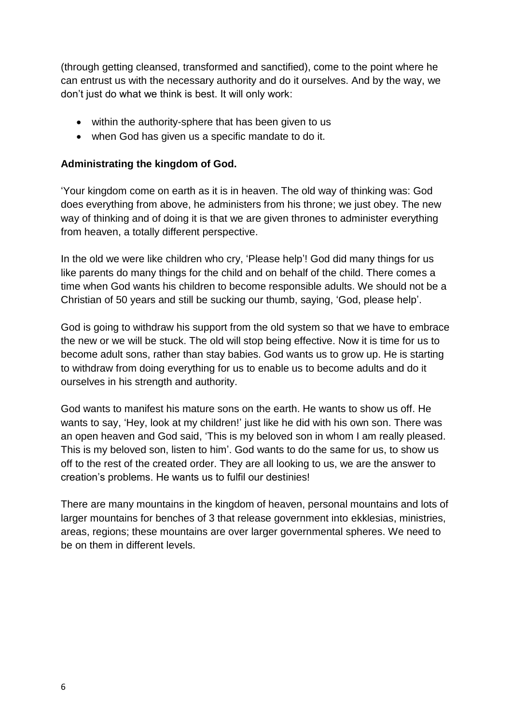(through getting cleansed, transformed and sanctified), come to the point where he can entrust us with the necessary authority and do it ourselves. And by the way, we don't just do what we think is best. It will only work:

- within the authority-sphere that has been given to us
- when God has given us a specific mandate to do it.

#### **Administrating the kingdom of God.**

'Your kingdom come on earth as it is in heaven. The old way of thinking was: God does everything from above, he administers from his throne; we just obey. The new way of thinking and of doing it is that we are given thrones to administer everything from heaven, a totally different perspective.

In the old we were like children who cry, 'Please help'! God did many things for us like parents do many things for the child and on behalf of the child. There comes a time when God wants his children to become responsible adults. We should not be a Christian of 50 years and still be sucking our thumb, saying, 'God, please help'.

God is going to withdraw his support from the old system so that we have to embrace the new or we will be stuck. The old will stop being effective. Now it is time for us to become adult sons, rather than stay babies. God wants us to grow up. He is starting to withdraw from doing everything for us to enable us to become adults and do it ourselves in his strength and authority.

God wants to manifest his mature sons on the earth. He wants to show us off. He wants to say, 'Hey, look at my children!' just like he did with his own son. There was an open heaven and God said, 'This is my beloved son in whom I am really pleased. This is my beloved son, listen to him'. God wants to do the same for us, to show us off to the rest of the created order. They are all looking to us, we are the answer to creation's problems. He wants us to fulfil our destinies!

There are many mountains in the kingdom of heaven, personal mountains and lots of larger mountains for benches of 3 that release government into ekklesias, ministries, areas, regions; these mountains are over larger governmental spheres. We need to be on them in different levels.